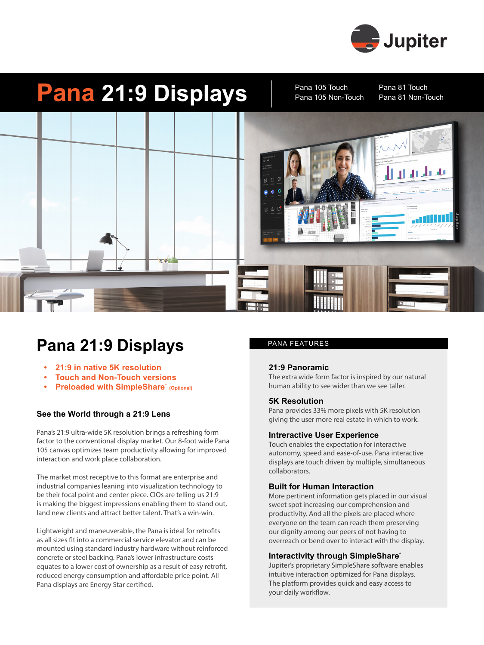

# **Pana 21:9 Displays** Pana 105 Touch Pana 81 Touch

Pana 105 Touch Pana 105 Non-Touch



### **Pana 21:9 Displays** PANA FEATURES

- **• 21:9 in native 5K resolution**
- **• Touch and Non-Touch versions**
- **Preloaded with SimpleShare**® (Optional)

### **See the World through a 21:9 Lens**

Pana's 21:9 ultra-wide 5K resolution brings a refreshing form factor to the conventional display market. Our 8-foot wide Pana 105 canvas optimizes team productivity allowing for improved interaction and work place collaboration.

The market most receptive to this format are enterprise and industrial companies leaning into visualization technology to be their focal point and center piece. CIOs are telling us 21:9 is making the biggest impressions enabling them to stand out, land new clients and attract better talent. That's a win-win.

Lightweight and maneuverable, the Pana is ideal for retrofits as all sizes fit into a commercial service elevator and can be mounted using standard industry hardware without reinforced concrete or steel backing. Pana's lower infrastructure costs equates to a lower cost of ownership as a result of easy retrofit, reduced energy consumption and affordable price point. All Pana displays are Energy Star certified.

#### **21:9 Panoramic**

The extra wide form factor is inspired by our natural human ability to see wider than we see taller.

#### **5K Resolution**

Pana provides 33% more pixels with 5K resolution giving the user more real estate in which to work.

#### **Intreractive User Experience**

Touch enables the expectation for interactive autonomy, speed and ease-of-use. Pana interactive displays are touch driven by multiple, simultaneous collaborators.

#### **Built for Human Interaction**

More pertinent information gets placed in our visual sweet spot increasing our comprehension and productivity. And all the pixels are placed where everyone on the team can reach them preserving our dignity among our peers of not having to overreach or bend over to interact with the display.

#### **Interactivity through SimpleShare**®

Jupiter's proprietary SimpleShare software enables intuitive interaction optimized for Pana displays. The platform provides quick and easy access to your daily workflow.